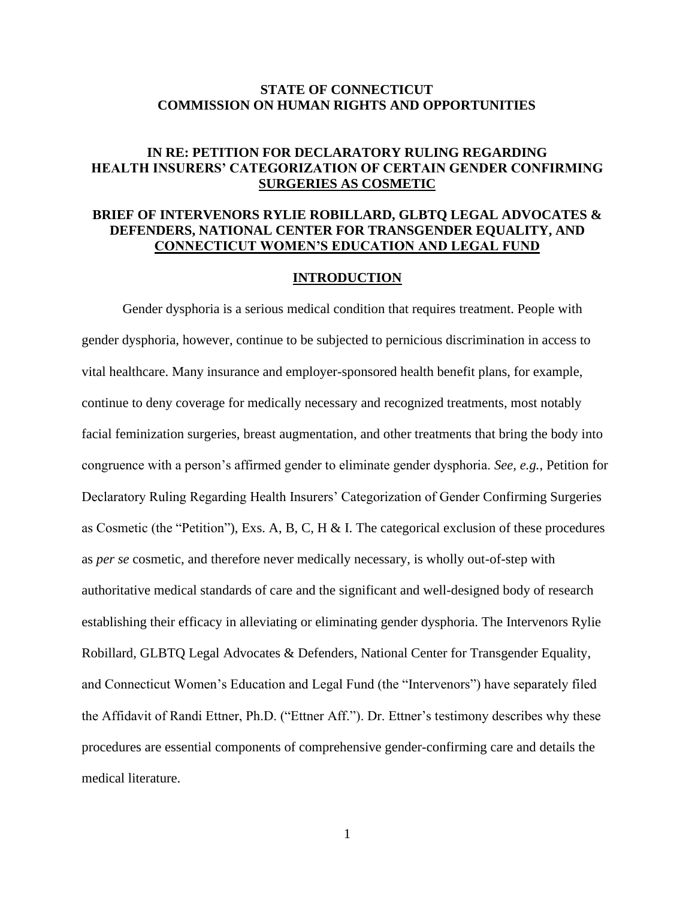## **STATE OF CONNECTICUT COMMISSION ON HUMAN RIGHTS AND OPPORTUNITIES**

# **IN RE: PETITION FOR DECLARATORY RULING REGARDING HEALTH INSURERS' CATEGORIZATION OF CERTAIN GENDER CONFIRMING SURGERIES AS COSMETIC**

# **BRIEF OF INTERVENORS RYLIE ROBILLARD, GLBTQ LEGAL ADVOCATES & DEFENDERS, NATIONAL CENTER FOR TRANSGENDER EQUALITY, AND CONNECTICUT WOMEN'S EDUCATION AND LEGAL FUND**

#### **INTRODUCTION**

Gender dysphoria is a serious medical condition that requires treatment. People with gender dysphoria, however, continue to be subjected to pernicious discrimination in access to vital healthcare. Many insurance and employer-sponsored health benefit plans, for example, continue to deny coverage for medically necessary and recognized treatments, most notably facial feminization surgeries, breast augmentation, and other treatments that bring the body into congruence with a person's affirmed gender to eliminate gender dysphoria. *See, e.g.*, Petition for Declaratory Ruling Regarding Health Insurers' Categorization of Gender Confirming Surgeries as Cosmetic (the "Petition"), Exs. A, B, C, H & I. The categorical exclusion of these procedures as *per se* cosmetic, and therefore never medically necessary, is wholly out-of-step with authoritative medical standards of care and the significant and well-designed body of research establishing their efficacy in alleviating or eliminating gender dysphoria. The Intervenors Rylie Robillard, GLBTQ Legal Advocates & Defenders, National Center for Transgender Equality, and Connecticut Women's Education and Legal Fund (the "Intervenors") have separately filed the Affidavit of Randi Ettner, Ph.D. ("Ettner Aff."). Dr. Ettner's testimony describes why these procedures are essential components of comprehensive gender-confirming care and details the medical literature.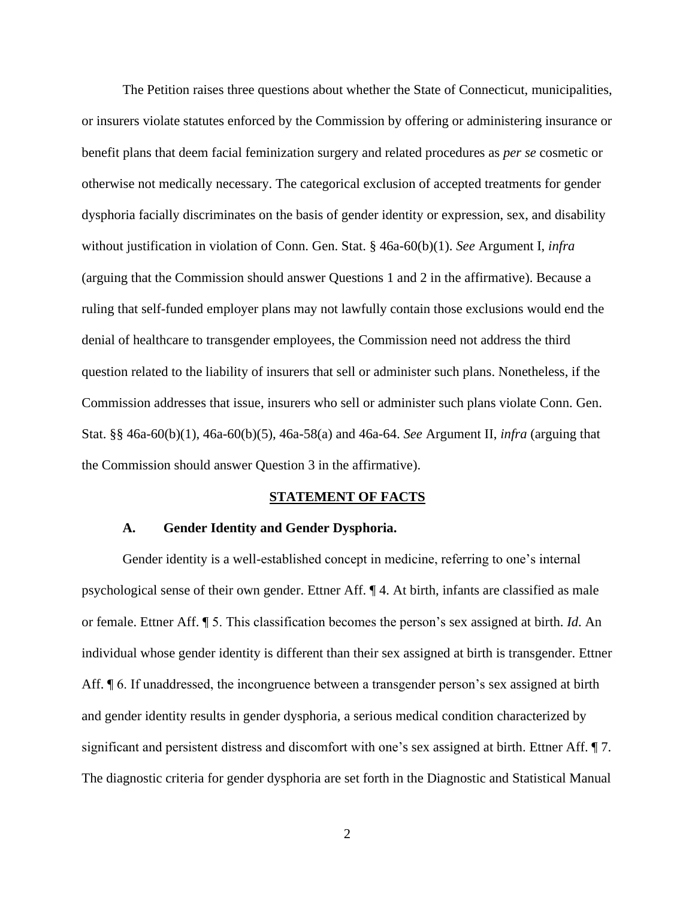The Petition raises three questions about whether the State of Connecticut, municipalities, or insurers violate statutes enforced by the Commission by offering or administering insurance or benefit plans that deem facial feminization surgery and related procedures as *per se* cosmetic or otherwise not medically necessary. The categorical exclusion of accepted treatments for gender dysphoria facially discriminates on the basis of gender identity or expression, sex, and disability without justification in violation of Conn. Gen. Stat. § 46a-60(b)(1). *See* Argument I, *infra* (arguing that the Commission should answer Questions 1 and 2 in the affirmative). Because a ruling that self-funded employer plans may not lawfully contain those exclusions would end the denial of healthcare to transgender employees, the Commission need not address the third question related to the liability of insurers that sell or administer such plans. Nonetheless, if the Commission addresses that issue, insurers who sell or administer such plans violate Conn. Gen. Stat. §§ 46a-60(b)(1), 46a-60(b)(5), 46a-58(a) and 46a-64. *See* Argument II, *infra* (arguing that the Commission should answer Question 3 in the affirmative).

#### **STATEMENT OF FACTS**

### **A. Gender Identity and Gender Dysphoria.**

Gender identity is a well-established concept in medicine, referring to one's internal psychological sense of their own gender. Ettner Aff. ¶ 4. At birth, infants are classified as male or female. Ettner Aff. ¶ 5. This classification becomes the person's sex assigned at birth. *Id*. An individual whose gender identity is different than their sex assigned at birth is transgender. Ettner Aff. ¶ 6. If unaddressed, the incongruence between a transgender person's sex assigned at birth and gender identity results in gender dysphoria, a serious medical condition characterized by significant and persistent distress and discomfort with one's sex assigned at birth. Ettner Aff. ¶ 7. The diagnostic criteria for gender dysphoria are set forth in the Diagnostic and Statistical Manual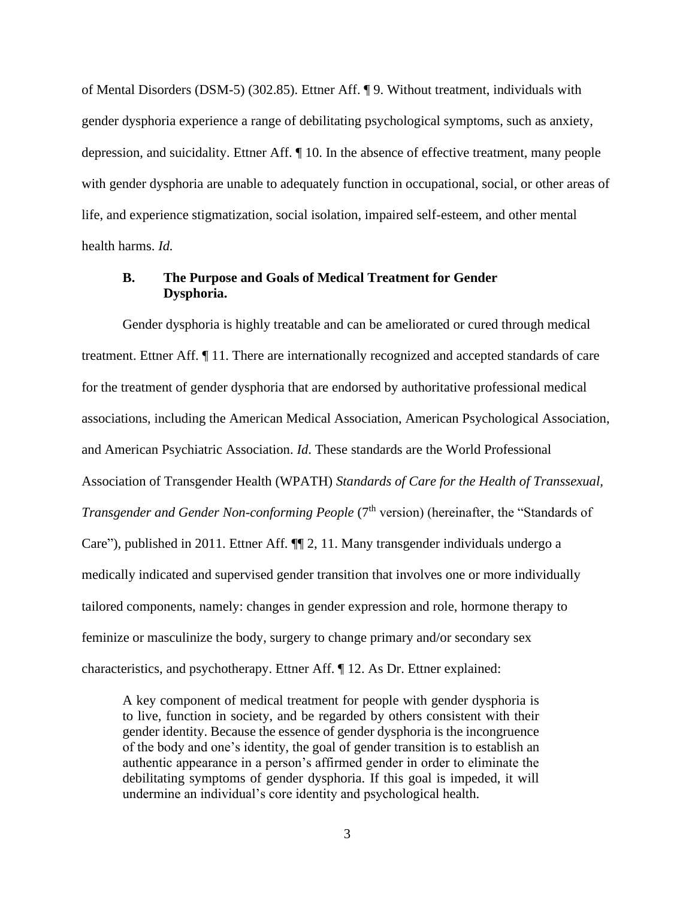of Mental Disorders (DSM-5) (302.85). Ettner Aff. ¶ 9. Without treatment, individuals with gender dysphoria experience a range of debilitating psychological symptoms, such as anxiety, depression, and suicidality. Ettner Aff. ¶ 10. In the absence of effective treatment, many people with gender dysphoria are unable to adequately function in occupational, social, or other areas of life, and experience stigmatization, social isolation, impaired self-esteem, and other mental health harms. *Id.*

# **B. The Purpose and Goals of Medical Treatment for Gender Dysphoria.**

Gender dysphoria is highly treatable and can be ameliorated or cured through medical treatment. Ettner Aff. ¶ 11. There are internationally recognized and accepted standards of care for the treatment of gender dysphoria that are endorsed by authoritative professional medical associations, including the American Medical Association, American Psychological Association, and American Psychiatric Association. *Id*. These standards are the World Professional Association of Transgender Health (WPATH) *Standards of Care for the Health of Transsexual, Transgender and Gender Non-conforming People* (7<sup>th</sup> version) (hereinafter, the "Standards of Care"), published in 2011. Ettner Aff. ¶¶ 2, 11. Many transgender individuals undergo a medically indicated and supervised gender transition that involves one or more individually tailored components, namely: changes in gender expression and role, hormone therapy to feminize or masculinize the body, surgery to change primary and/or secondary sex characteristics, and psychotherapy. Ettner Aff. ¶ 12. As Dr. Ettner explained:

A key component of medical treatment for people with gender dysphoria is to live, function in society, and be regarded by others consistent with their gender identity. Because the essence of gender dysphoria is the incongruence of the body and one's identity, the goal of gender transition is to establish an authentic appearance in a person's affirmed gender in order to eliminate the debilitating symptoms of gender dysphoria. If this goal is impeded, it will undermine an individual's core identity and psychological health.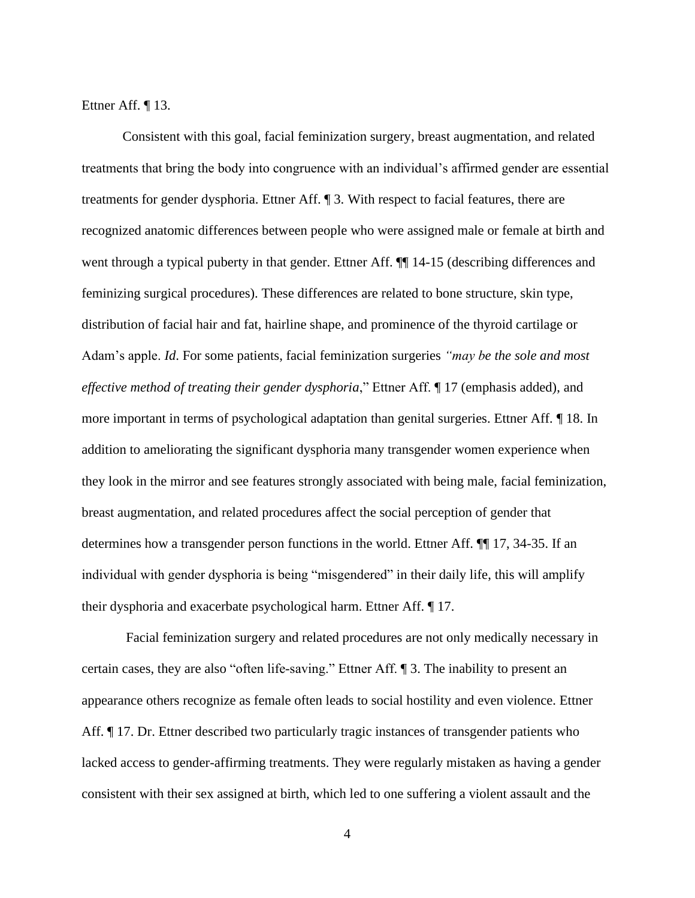Ettner Aff. ¶ 13.

Consistent with this goal, facial feminization surgery, breast augmentation, and related treatments that bring the body into congruence with an individual's affirmed gender are essential treatments for gender dysphoria. Ettner Aff. ¶ 3. With respect to facial features, there are recognized anatomic differences between people who were assigned male or female at birth and went through a typical puberty in that gender. Ettner Aff.  $\P$  14-15 (describing differences and feminizing surgical procedures). These differences are related to bone structure, skin type, distribution of facial hair and fat, hairline shape, and prominence of the thyroid cartilage or Adam's apple. *Id*. For some patients, facial feminization surgeries *"may be the sole and most effective method of treating their gender dysphoria*," Ettner Aff. ¶ 17 (emphasis added), and more important in terms of psychological adaptation than genital surgeries. Ettner Aff. ¶ 18. In addition to ameliorating the significant dysphoria many transgender women experience when they look in the mirror and see features strongly associated with being male, facial feminization, breast augmentation, and related procedures affect the social perception of gender that determines how a transgender person functions in the world. Ettner Aff. ¶¶ 17, 34-35. If an individual with gender dysphoria is being "misgendered" in their daily life, this will amplify their dysphoria and exacerbate psychological harm. Ettner Aff. ¶ 17.

Facial feminization surgery and related procedures are not only medically necessary in certain cases, they are also "often life-saving." Ettner Aff. ¶ 3. The inability to present an appearance others recognize as female often leads to social hostility and even violence. Ettner Aff.  $\parallel$  17. Dr. Ettner described two particularly tragic instances of transgender patients who lacked access to gender-affirming treatments. They were regularly mistaken as having a gender consistent with their sex assigned at birth, which led to one suffering a violent assault and the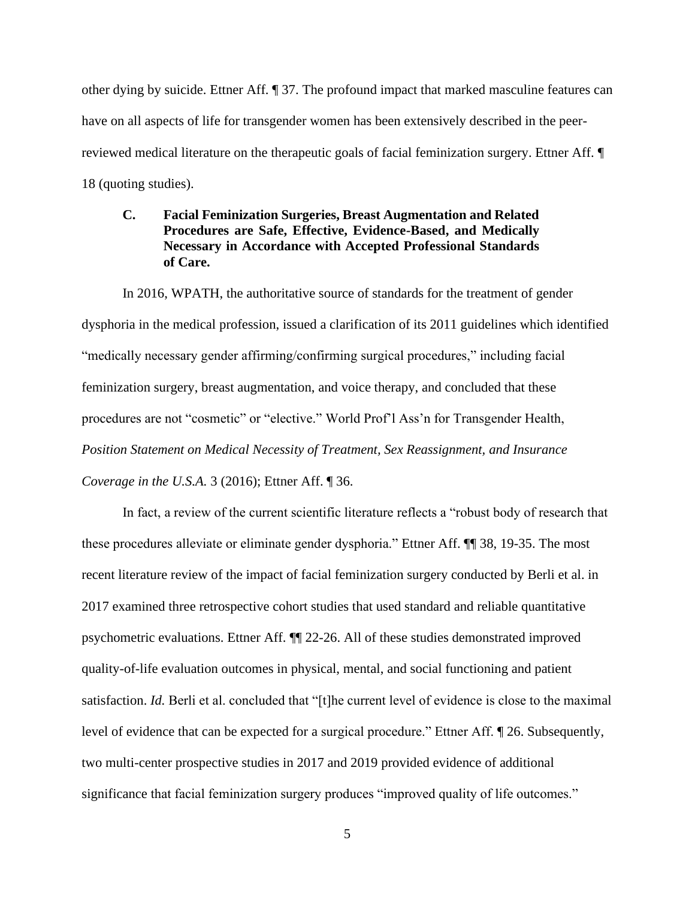other dying by suicide. Ettner Aff. ¶ 37. The profound impact that marked masculine features can have on all aspects of life for transgender women has been extensively described in the peerreviewed medical literature on the therapeutic goals of facial feminization surgery. Ettner Aff. ¶ 18 (quoting studies).

# **C. Facial Feminization Surgeries, Breast Augmentation and Related Procedures are Safe, Effective, Evidence-Based, and Medically Necessary in Accordance with Accepted Professional Standards of Care.**

In 2016, WPATH, the authoritative source of standards for the treatment of gender dysphoria in the medical profession, issued a clarification of its 2011 guidelines which identified "medically necessary gender affirming/confirming surgical procedures," including facial feminization surgery, breast augmentation, and voice therapy, and concluded that these procedures are not "cosmetic" or "elective." World Prof'l Ass'n for Transgender Health, *Position Statement on Medical Necessity of Treatment, Sex Reassignment, and Insurance Coverage in the U.S.A.* 3 (2016); Ettner Aff. ¶ 36.

In fact, a review of the current scientific literature reflects a "robust body of research that these procedures alleviate or eliminate gender dysphoria." Ettner Aff. ¶¶ 38, 19-35. The most recent literature review of the impact of facial feminization surgery conducted by Berli et al. in 2017 examined three retrospective cohort studies that used standard and reliable quantitative psychometric evaluations. Ettner Aff. ¶¶ 22-26. All of these studies demonstrated improved quality-of-life evaluation outcomes in physical, mental, and social functioning and patient satisfaction. *Id.* Berli et al. concluded that "[t]he current level of evidence is close to the maximal level of evidence that can be expected for a surgical procedure." Ettner Aff. ¶ 26. Subsequently, two multi-center prospective studies in 2017 and 2019 provided evidence of additional significance that facial feminization surgery produces "improved quality of life outcomes."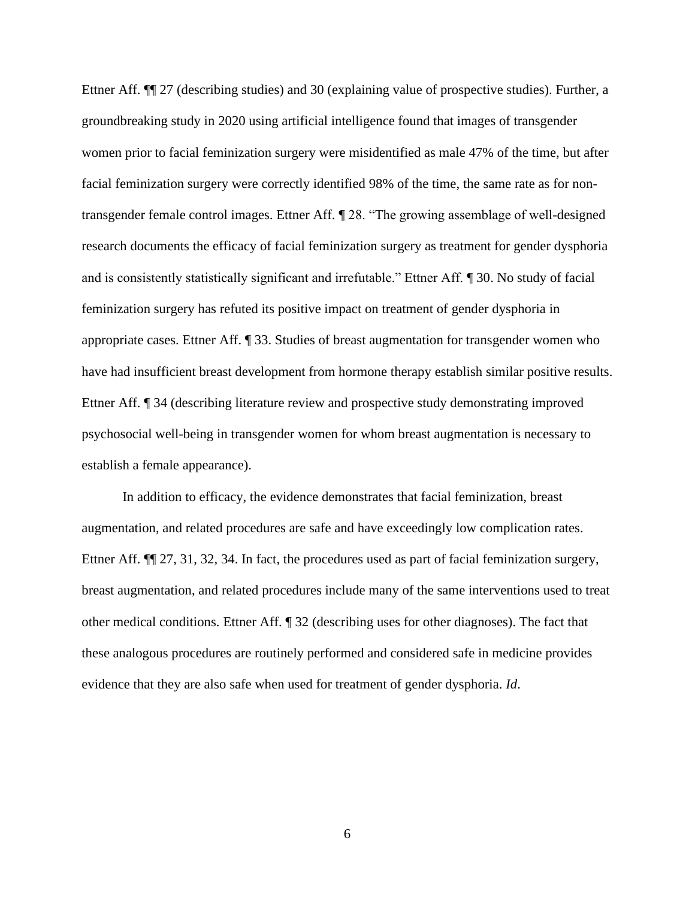Ettner Aff. ¶¶ 27 (describing studies) and 30 (explaining value of prospective studies). Further, a groundbreaking study in 2020 using artificial intelligence found that images of transgender women prior to facial feminization surgery were misidentified as male 47% of the time, but after facial feminization surgery were correctly identified 98% of the time, the same rate as for nontransgender female control images. Ettner Aff. ¶ 28. "The growing assemblage of well-designed research documents the efficacy of facial feminization surgery as treatment for gender dysphoria and is consistently statistically significant and irrefutable." Ettner Aff. ¶ 30. No study of facial feminization surgery has refuted its positive impact on treatment of gender dysphoria in appropriate cases. Ettner Aff. ¶ 33. Studies of breast augmentation for transgender women who have had insufficient breast development from hormone therapy establish similar positive results. Ettner Aff. ¶ 34 (describing literature review and prospective study demonstrating improved psychosocial well-being in transgender women for whom breast augmentation is necessary to establish a female appearance).

In addition to efficacy, the evidence demonstrates that facial feminization, breast augmentation, and related procedures are safe and have exceedingly low complication rates. Ettner Aff.  $\P$  27, 31, 32, 34. In fact, the procedures used as part of facial feminization surgery, breast augmentation, and related procedures include many of the same interventions used to treat other medical conditions. Ettner Aff. ¶ 32 (describing uses for other diagnoses). The fact that these analogous procedures are routinely performed and considered safe in medicine provides evidence that they are also safe when used for treatment of gender dysphoria. *Id*.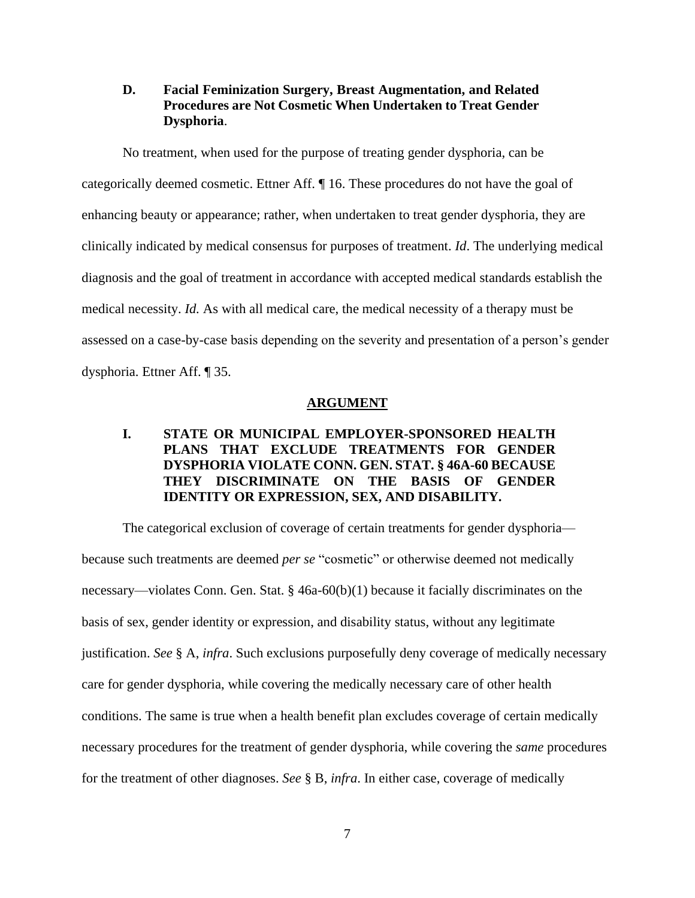# **D. Facial Feminization Surgery, Breast Augmentation, and Related Procedures are Not Cosmetic When Undertaken to Treat Gender Dysphoria**.

No treatment, when used for the purpose of treating gender dysphoria, can be categorically deemed cosmetic. Ettner Aff. ¶ 16. These procedures do not have the goal of enhancing beauty or appearance; rather, when undertaken to treat gender dysphoria, they are clinically indicated by medical consensus for purposes of treatment. *Id*. The underlying medical diagnosis and the goal of treatment in accordance with accepted medical standards establish the medical necessity. *Id.* As with all medical care, the medical necessity of a therapy must be assessed on a case-by-case basis depending on the severity and presentation of a person's gender dysphoria. Ettner Aff. ¶ 35.

#### **ARGUMENT**

# **I. STATE OR MUNICIPAL EMPLOYER-SPONSORED HEALTH PLANS THAT EXCLUDE TREATMENTS FOR GENDER DYSPHORIA VIOLATE CONN. GEN. STAT. § 46A-60 BECAUSE THEY DISCRIMINATE ON THE BASIS OF GENDER IDENTITY OR EXPRESSION, SEX, AND DISABILITY.**

The categorical exclusion of coverage of certain treatments for gender dysphoria because such treatments are deemed *per se* "cosmetic" or otherwise deemed not medically necessary—violates Conn. Gen. Stat. § 46a-60(b)(1) because it facially discriminates on the basis of sex, gender identity or expression, and disability status, without any legitimate justification. *See* § A, *infra*. Such exclusions purposefully deny coverage of medically necessary care for gender dysphoria, while covering the medically necessary care of other health conditions. The same is true when a health benefit plan excludes coverage of certain medically necessary procedures for the treatment of gender dysphoria, while covering the *same* procedures for the treatment of other diagnoses. *See* § B, *infra*. In either case, coverage of medically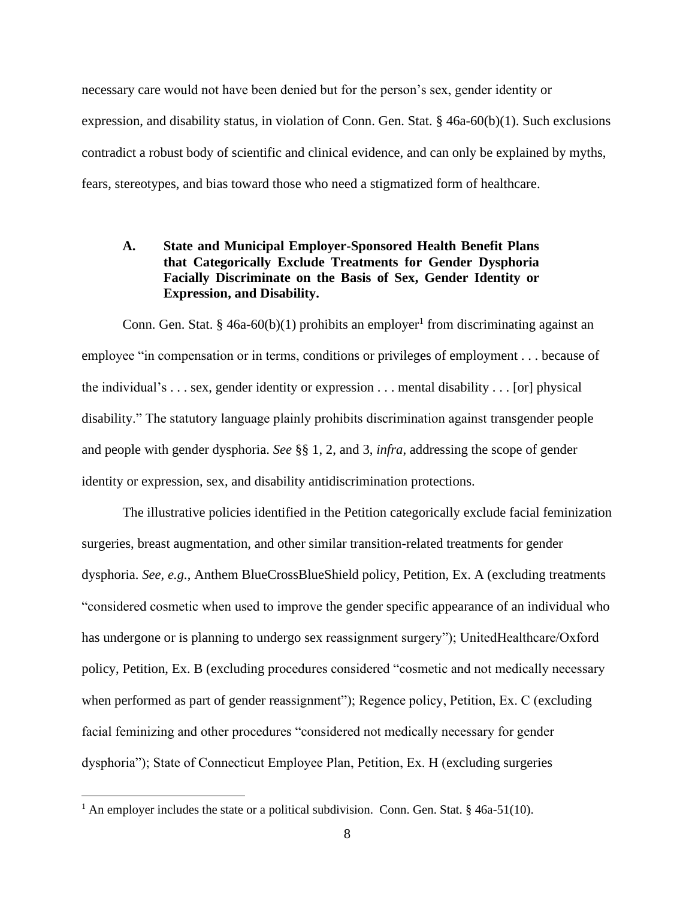necessary care would not have been denied but for the person's sex, gender identity or expression, and disability status, in violation of Conn. Gen. Stat. § 46a-60(b)(1). Such exclusions contradict a robust body of scientific and clinical evidence, and can only be explained by myths, fears, stereotypes, and bias toward those who need a stigmatized form of healthcare.

# **A. State and Municipal Employer-Sponsored Health Benefit Plans that Categorically Exclude Treatments for Gender Dysphoria Facially Discriminate on the Basis of Sex, Gender Identity or Expression, and Disability.**

Conn. Gen. Stat. § 46a-60(b)(1) prohibits an employer<sup>1</sup> from discriminating against an employee "in compensation or in terms, conditions or privileges of employment . . . because of the individual's . . . sex, gender identity or expression . . . mental disability . . . [or] physical disability." The statutory language plainly prohibits discrimination against transgender people and people with gender dysphoria. *See* §§ 1, 2, and 3, *infra*, addressing the scope of gender identity or expression, sex, and disability antidiscrimination protections.

The illustrative policies identified in the Petition categorically exclude facial feminization surgeries, breast augmentation, and other similar transition-related treatments for gender dysphoria. *See, e.g.*, Anthem BlueCrossBlueShield policy, Petition, Ex. A (excluding treatments "considered cosmetic when used to improve the gender specific appearance of an individual who has undergone or is planning to undergo sex reassignment surgery"); UnitedHealthcare/Oxford policy, Petition, Ex. B (excluding procedures considered "cosmetic and not medically necessary when performed as part of gender reassignment"); Regence policy, Petition, Ex. C (excluding facial feminizing and other procedures "considered not medically necessary for gender dysphoria"); State of Connecticut Employee Plan, Petition, Ex. H (excluding surgeries

<sup>&</sup>lt;sup>1</sup> An employer includes the state or a political subdivision. Conn. Gen. Stat.  $§$  46a-51(10).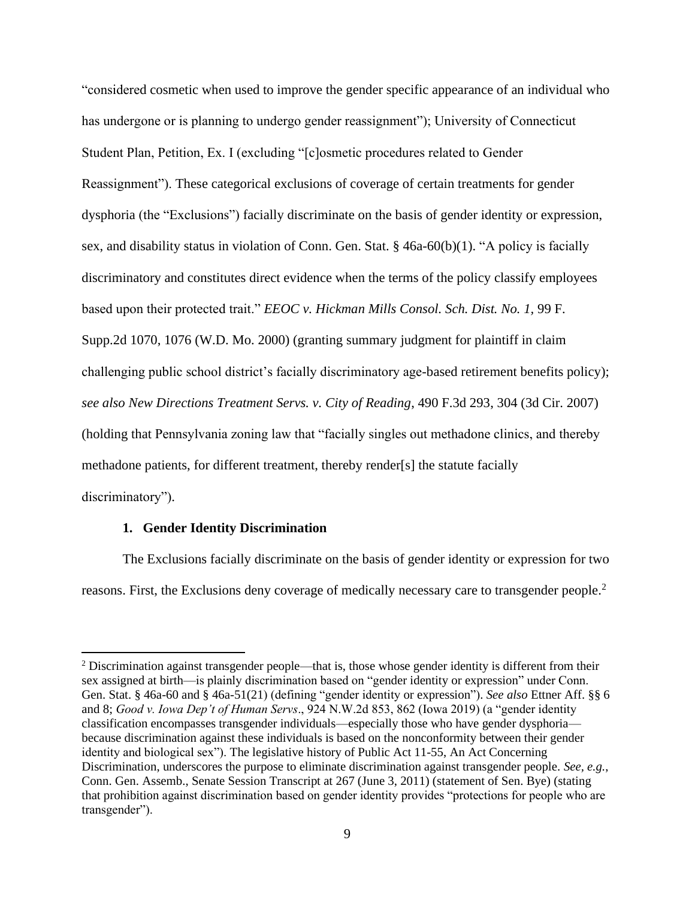"considered cosmetic when used to improve the gender specific appearance of an individual who has undergone or is planning to undergo gender reassignment"); University of Connecticut Student Plan, Petition, Ex. I (excluding "[c]osmetic procedures related to Gender Reassignment"). These categorical exclusions of coverage of certain treatments for gender dysphoria (the "Exclusions") facially discriminate on the basis of gender identity or expression, sex, and disability status in violation of Conn. Gen. Stat. § 46a-60(b)(1). "A policy is facially discriminatory and constitutes direct evidence when the terms of the policy classify employees based upon their protected trait." *EEOC v. Hickman Mills Consol. Sch. Dist. No. 1,* 99 F. Supp.2d 1070, 1076 (W.D. Mo. 2000) (granting summary judgment for plaintiff in claim challenging public school district's facially discriminatory age-based retirement benefits policy); *see also New Directions Treatment Servs. v. City of Reading*, 490 F.3d 293, 304 (3d Cir. 2007) (holding that Pennsylvania zoning law that "facially singles out methadone clinics, and thereby methadone patients, for different treatment, thereby render[s] the statute facially discriminatory").

## **1. Gender Identity Discrimination**

The Exclusions facially discriminate on the basis of gender identity or expression for two reasons. First, the Exclusions deny coverage of medically necessary care to transgender people.<sup>2</sup>

<sup>&</sup>lt;sup>2</sup> Discrimination against transgender people—that is, those whose gender identity is different from their sex assigned at birth—is plainly discrimination based on "gender identity or expression" under Conn. Gen. Stat. § 46a-60 and § 46a-51(21) (defining "gender identity or expression"). *See also* Ettner Aff. §§ 6 and 8; *Good v. Iowa Dep't of Human Servs*., 924 N.W.2d 853, 862 (Iowa 2019) (a "gender identity classification encompasses transgender individuals—especially those who have gender dysphoria because discrimination against these individuals is based on the nonconformity between their gender identity and biological sex"). The legislative history of Public Act 11-55, An Act Concerning Discrimination, underscores the purpose to eliminate discrimination against transgender people. *See, e.g.*, Conn. Gen. Assemb., Senate Session Transcript at 267 (June 3, 2011) (statement of Sen. Bye) (stating that prohibition against discrimination based on gender identity provides "protections for people who are transgender").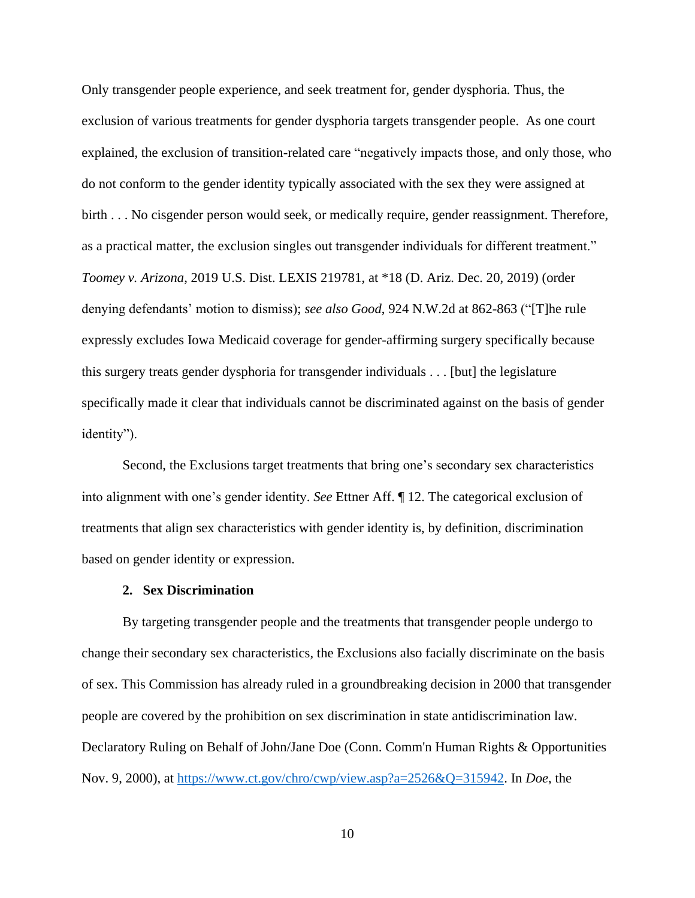Only transgender people experience, and seek treatment for, gender dysphoria. Thus, the exclusion of various treatments for gender dysphoria targets transgender people. As one court explained, the exclusion of transition-related care "negatively impacts those, and only those, who do not conform to the gender identity typically associated with the sex they were assigned at birth . . . No cisgender person would seek, or medically require, gender reassignment. Therefore, as a practical matter, the exclusion singles out transgender individuals for different treatment." *Toomey v. Arizona*, 2019 U.S. Dist. LEXIS 219781, at \*18 (D. Ariz. Dec. 20, 2019) (order denying defendants' motion to dismiss); *see also Good*, 924 N.W.2d at 862-863 ("[T]he rule expressly excludes Iowa Medicaid coverage for gender-affirming surgery specifically because this surgery treats gender dysphoria for transgender individuals . . . [but] the legislature specifically made it clear that individuals cannot be discriminated against on the basis of gender identity").

Second, the Exclusions target treatments that bring one's secondary sex characteristics into alignment with one's gender identity. *See* Ettner Aff. ¶ 12. The categorical exclusion of treatments that align sex characteristics with gender identity is, by definition, discrimination based on gender identity or expression.

#### **2. Sex Discrimination**

By targeting transgender people and the treatments that transgender people undergo to change their secondary sex characteristics, the Exclusions also facially discriminate on the basis of sex. This Commission has already ruled in a groundbreaking decision in 2000 that transgender people are covered by the prohibition on sex discrimination in state antidiscrimination law. Declaratory Ruling on Behalf of John/Jane Doe (Conn. Comm'n Human Rights & Opportunities Nov. 9, 2000), at [https://www.ct.gov/chro/cwp/view.asp?a=2526&Q=315942.](https://www.ct.gov/chro/cwp/view.asp?a=2526&Q=315942) In *Doe*, the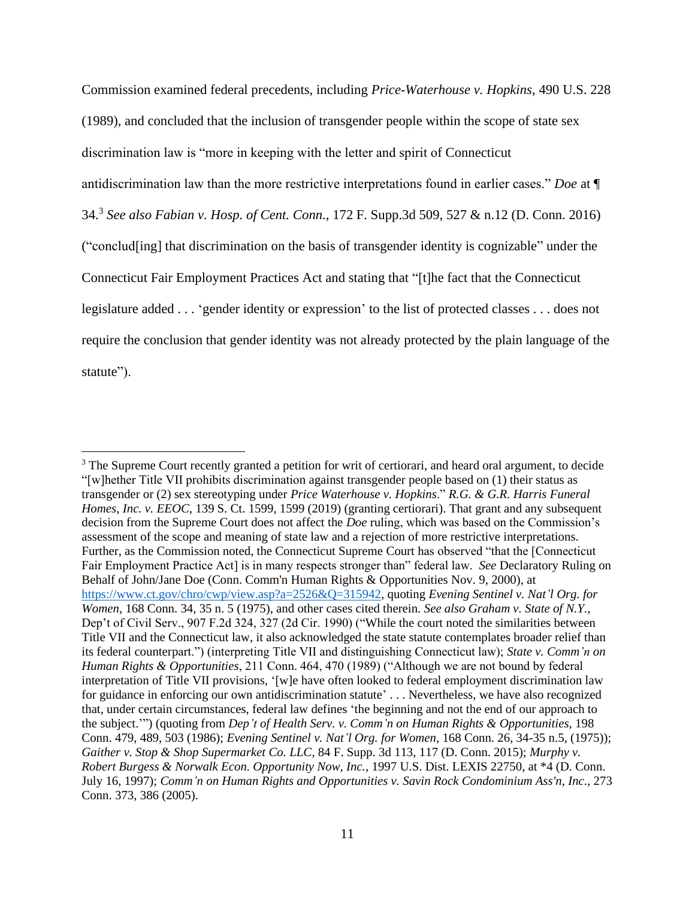Commission examined federal precedents, including *Price-Waterhouse v. Hopkins*, 490 U.S. 228 (1989), and concluded that the inclusion of transgender people within the scope of state sex discrimination law is "more in keeping with the letter and spirit of Connecticut antidiscrimination law than the more restrictive interpretations found in earlier cases." *Doe* at ¶ 34. 3 *See also Fabian v. Hosp. of Cent. Conn.*, 172 F. Supp.3d 509, 527 & n.12 (D. Conn. 2016) ("conclud[ing] that discrimination on the basis of transgender identity is cognizable" under the Connecticut Fair Employment Practices Act and stating that "[t]he fact that the Connecticut legislature added . . . 'gender identity or expression' to the list of protected classes . . . does not require the conclusion that gender identity was not already protected by the plain language of the statute").

<sup>&</sup>lt;sup>3</sup> The Supreme Court recently granted a petition for writ of certiorari, and heard oral argument, to decide "[w]hether Title VII prohibits discrimination against transgender people based on (1) their status as transgender or (2) sex stereotyping under *Price Waterhouse v. Hopkins*." *R.G. & G.R. Harris Funeral Homes, Inc. v. EEOC,* 139 S. Ct. 1599, 1599 (2019) (granting certiorari). That grant and any subsequent decision from the Supreme Court does not affect the *Doe* ruling, which was based on the Commission's assessment of the scope and meaning of state law and a rejection of more restrictive interpretations. Further, as the Commission noted, the Connecticut Supreme Court has observed "that the [Connecticut Fair Employment Practice Act] is in many respects stronger than" federal law. *See* Declaratory Ruling on Behalf of John/Jane Doe (Conn. Comm'n Human Rights & Opportunities Nov. 9, 2000), at [https://www.ct.gov/chro/cwp/view.asp?a=2526&Q=315942,](https://www.ct.gov/chro/cwp/view.asp?a=2526&Q=315942) quoting *Evening Sentinel v. Nat'l Org. for Women*, 168 Conn. 34, 35 n. 5 (1975), and other cases cited therein. *See also Graham v. State of N.Y.*, Dep't of Civil Serv., 907 F.2d 324, 327 (2d Cir. 1990) ("While the court noted the similarities between Title VII and the Connecticut law, it also acknowledged the state statute contemplates broader relief than its federal counterpart.") (interpreting Title VII and distinguishing Connecticut law); *State v. Comm'n on Human Rights & Opportunities*, 211 Conn. 464, 470 (1989) ("Although we are not bound by federal interpretation of Title VII provisions, '[w]e have often looked to federal employment discrimination law for guidance in enforcing our own antidiscrimination statute' . . . Nevertheless, we have also recognized that, under certain circumstances, federal law defines 'the beginning and not the end of our approach to the subject.'") (quoting from *Dep't of Health Serv. v. Comm'n on Human Rights & Opportunities*, 198 Conn. 479, 489, 503 (1986); *Evening Sentinel v. Nat'l Org. for Women*, 168 Conn. 26, 34-35 n.5, (1975)); *Gaither v. Stop & Shop Supermarket Co. LLC*, 84 F. Supp. 3d 113, 117 (D. Conn. 2015); *Murphy v. Robert Burgess & Norwalk Econ. Opportunity Now, Inc.*, 1997 U.S. Dist. LEXIS 22750, at \*4 (D. Conn. July 16, 1997); *Comm'n on Human Rights and Opportunities v. Savin Rock Condominium Ass'n*, *Inc*., 273 Conn. 373, 386 (2005).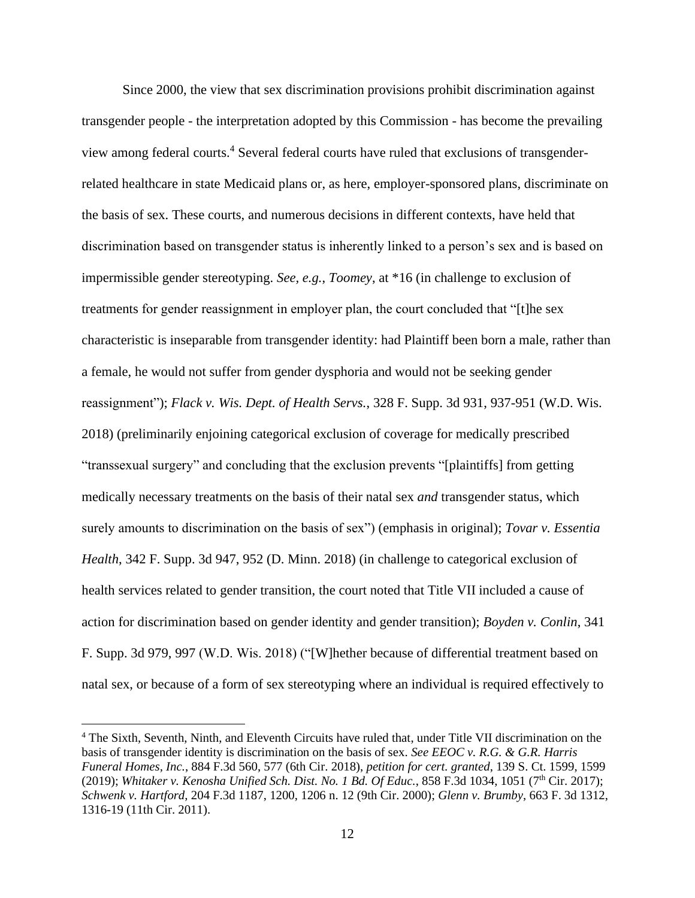Since 2000, the view that sex discrimination provisions prohibit discrimination against transgender people - the interpretation adopted by this Commission - has become the prevailing view among federal courts.<sup>4</sup> Several federal courts have ruled that exclusions of transgenderrelated healthcare in state Medicaid plans or, as here, employer-sponsored plans, discriminate on the basis of sex. These courts, and numerous decisions in different contexts, have held that discrimination based on transgender status is inherently linked to a person's sex and is based on impermissible gender stereotyping. *See, e.g.*, *Toomey*, at \*16 (in challenge to exclusion of treatments for gender reassignment in employer plan, the court concluded that "[t]he sex characteristic is inseparable from transgender identity: had Plaintiff been born a male, rather than a female, he would not suffer from gender dysphoria and would not be seeking gender reassignment"); *Flack v. Wis. Dept. of Health Servs.*, 328 F. Supp. 3d 931, 937-951 (W.D. Wis. 2018) (preliminarily enjoining categorical exclusion of coverage for medically prescribed "transsexual surgery" and concluding that the exclusion prevents "[plaintiffs] from getting medically necessary treatments on the basis of their natal sex *and* transgender status, which surely amounts to discrimination on the basis of sex") (emphasis in original); *Tovar v. Essentia Health*, 342 F. Supp. 3d 947, 952 (D. Minn. 2018) (in challenge to categorical exclusion of health services related to gender transition, the court noted that Title VII included a cause of action for discrimination based on gender identity and gender transition); *Boyden v. Conlin*, 341 F. Supp. 3d 979, 997 (W.D. Wis. 2018) ("[W]hether because of differential treatment based on natal sex, or because of a form of sex stereotyping where an individual is required effectively to

<sup>4</sup> The Sixth, Seventh, Ninth, and Eleventh Circuits have ruled that, under Title VII discrimination on the basis of transgender identity is discrimination on the basis of sex. *See EEOC v. R.G. & G.R. Harris Funeral Homes, Inc.*, 884 F.3d 560, 577 (6th Cir. 2018), *petition for cert. granted*, 139 S. Ct. 1599, 1599 (2019); *Whitaker v. Kenosha Unified Sch. Dist. No. 1 Bd. Of Educ.*, 858 F.3d 1034, 1051 (7<sup>th</sup> Cir. 2017); *Schwenk v. Hartford*, 204 F.3d 1187, 1200, 1206 n. 12 (9th Cir. 2000); *Glenn v. Brumby*, 663 F. 3d 1312, 1316-19 (11th Cir. 2011).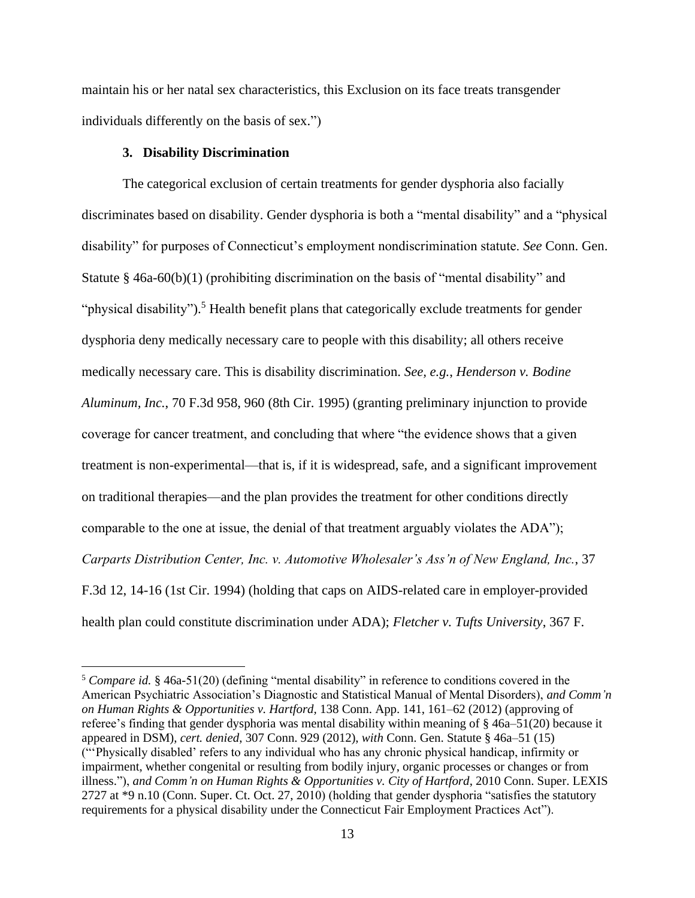maintain his or her natal sex characteristics, this Exclusion on its face treats transgender individuals differently on the basis of sex.")

### **3. Disability Discrimination**

The categorical exclusion of certain treatments for gender dysphoria also facially discriminates based on disability. Gender dysphoria is both a "mental disability" and a "physical disability" for purposes of Connecticut's employment nondiscrimination statute. *See* Conn. Gen. Statute § 46a-60(b)(1) (prohibiting discrimination on the basis of "mental disability" and "physical disability").<sup>5</sup> Health benefit plans that categorically exclude treatments for gender dysphoria deny medically necessary care to people with this disability; all others receive medically necessary care. This is disability discrimination. *See, e.g.*, *Henderson v. Bodine Aluminum, Inc.*, 70 F.3d 958, 960 (8th Cir. 1995) (granting preliminary injunction to provide coverage for cancer treatment, and concluding that where "the evidence shows that a given treatment is non-experimental—that is, if it is widespread, safe, and a significant improvement on traditional therapies—and the plan provides the treatment for other conditions directly comparable to the one at issue, the denial of that treatment arguably violates the ADA"); *Carparts Distribution Center, Inc. v. Automotive Wholesaler's Ass'n of New England, Inc.*, 37 F.3d 12, 14-16 (1st Cir. 1994) (holding that caps on AIDS-related care in employer-provided health plan could constitute discrimination under ADA); *Fletcher v. Tufts University*, 367 F.

<sup>&</sup>lt;sup>5</sup> *Compare id.* § 46a-51(20) (defining "mental disability" in reference to conditions covered in the American Psychiatric Association's Diagnostic and Statistical Manual of Mental Disorders), *and Comm'n on Human Rights & Opportunities v. Hartford,* 138 Conn. App. 141, 161–62 (2012) (approving of referee's finding that gender dysphoria was mental disability within meaning of § 46a–51(20) because it appeared in DSM), *cert. denied*, 307 Conn. 929 (2012), *with* Conn. Gen. Statute § 46a–51 (15) ("'Physically disabled' refers to any individual who has any chronic physical handicap, infirmity or impairment, whether congenital or resulting from bodily injury, organic processes or changes or from illness."), *and Comm'n on Human Rights & Opportunities v. City of Hartford*, 2010 Conn. Super. LEXIS 2727 at \*9 n.10 (Conn. Super. Ct. Oct. 27, 2010) (holding that gender dysphoria "satisfies the statutory requirements for a physical disability under the Connecticut Fair Employment Practices Act").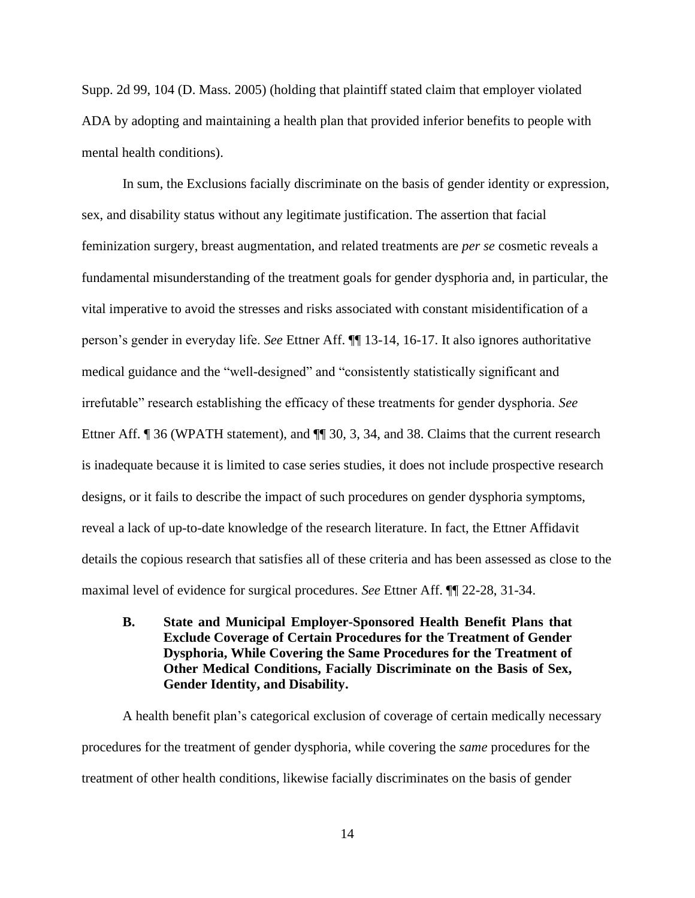Supp. 2d 99, 104 (D. Mass. 2005) (holding that plaintiff stated claim that employer violated ADA by adopting and maintaining a health plan that provided inferior benefits to people with mental health conditions).

In sum, the Exclusions facially discriminate on the basis of gender identity or expression, sex, and disability status without any legitimate justification. The assertion that facial feminization surgery, breast augmentation, and related treatments are *per se* cosmetic reveals a fundamental misunderstanding of the treatment goals for gender dysphoria and, in particular, the vital imperative to avoid the stresses and risks associated with constant misidentification of a person's gender in everyday life. *See* Ettner Aff. ¶¶ 13-14, 16-17. It also ignores authoritative medical guidance and the "well-designed" and "consistently statistically significant and irrefutable" research establishing the efficacy of these treatments for gender dysphoria. *See*  Ettner Aff. ¶ 36 (WPATH statement), and ¶ 30, 3, 34, and 38. Claims that the current research is inadequate because it is limited to case series studies, it does not include prospective research designs, or it fails to describe the impact of such procedures on gender dysphoria symptoms, reveal a lack of up-to-date knowledge of the research literature. In fact, the Ettner Affidavit details the copious research that satisfies all of these criteria and has been assessed as close to the maximal level of evidence for surgical procedures. *See* Ettner Aff. ¶¶ 22-28, 31-34.

**B. State and Municipal Employer-Sponsored Health Benefit Plans that Exclude Coverage of Certain Procedures for the Treatment of Gender Dysphoria, While Covering the Same Procedures for the Treatment of Other Medical Conditions, Facially Discriminate on the Basis of Sex, Gender Identity, and Disability.**

A health benefit plan's categorical exclusion of coverage of certain medically necessary procedures for the treatment of gender dysphoria, while covering the *same* procedures for the treatment of other health conditions, likewise facially discriminates on the basis of gender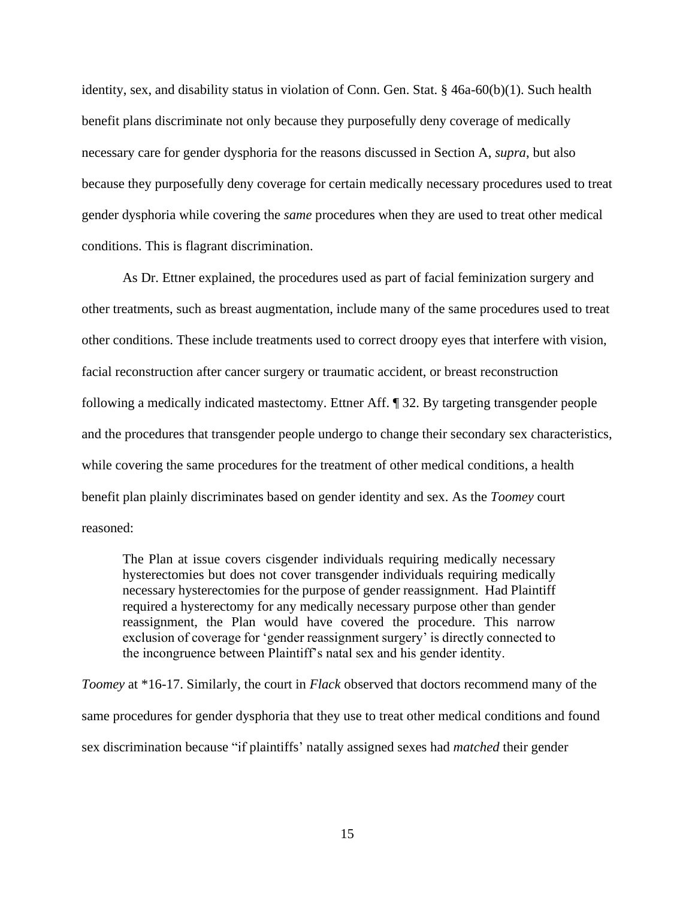identity, sex, and disability status in violation of Conn. Gen. Stat. § 46a-60(b)(1). Such health benefit plans discriminate not only because they purposefully deny coverage of medically necessary care for gender dysphoria for the reasons discussed in Section A, *supra*, but also because they purposefully deny coverage for certain medically necessary procedures used to treat gender dysphoria while covering the *same* procedures when they are used to treat other medical conditions. This is flagrant discrimination.

As Dr. Ettner explained, the procedures used as part of facial feminization surgery and other treatments, such as breast augmentation, include many of the same procedures used to treat other conditions. These include treatments used to correct droopy eyes that interfere with vision, facial reconstruction after cancer surgery or traumatic accident, or breast reconstruction following a medically indicated mastectomy. Ettner Aff. ¶ 32. By targeting transgender people and the procedures that transgender people undergo to change their secondary sex characteristics, while covering the same procedures for the treatment of other medical conditions, a health benefit plan plainly discriminates based on gender identity and sex. As the *Toomey* court reasoned:

The Plan at issue covers cisgender individuals requiring medically necessary hysterectomies but does not cover transgender individuals requiring medically necessary hysterectomies for the purpose of gender reassignment. Had Plaintiff required a hysterectomy for any medically necessary purpose other than gender reassignment, the Plan would have covered the procedure. This narrow exclusion of coverage for 'gender reassignment surgery' is directly connected to the incongruence between Plaintiff's natal sex and his gender identity.

*Toomey* at \*16-17. Similarly, the court in *Flack* observed that doctors recommend many of the same procedures for gender dysphoria that they use to treat other medical conditions and found sex discrimination because "if plaintiffs' natally assigned sexes had *matched* their gender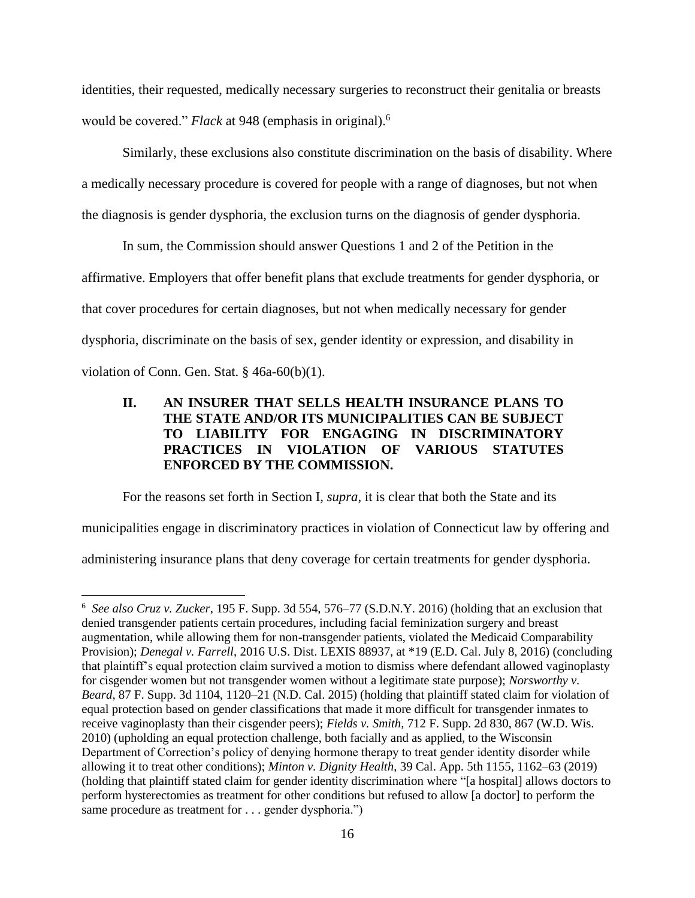identities, their requested, medically necessary surgeries to reconstruct their genitalia or breasts would be covered." *Flack* at 948 (emphasis in original). 6

Similarly, these exclusions also constitute discrimination on the basis of disability. Where a medically necessary procedure is covered for people with a range of diagnoses, but not when the diagnosis is gender dysphoria, the exclusion turns on the diagnosis of gender dysphoria.

In sum, the Commission should answer Questions 1 and 2 of the Petition in the affirmative. Employers that offer benefit plans that exclude treatments for gender dysphoria, or that cover procedures for certain diagnoses, but not when medically necessary for gender dysphoria, discriminate on the basis of sex, gender identity or expression, and disability in violation of Conn. Gen. Stat. § 46a-60(b)(1).

# **II. AN INSURER THAT SELLS HEALTH INSURANCE PLANS TO THE STATE AND/OR ITS MUNICIPALITIES CAN BE SUBJECT TO LIABILITY FOR ENGAGING IN DISCRIMINATORY PRACTICES IN VIOLATION OF VARIOUS STATUTES ENFORCED BY THE COMMISSION.**

For the reasons set forth in Section I, *supra*, it is clear that both the State and its

municipalities engage in discriminatory practices in violation of Connecticut law by offering and

administering insurance plans that deny coverage for certain treatments for gender dysphoria.

<sup>6</sup> *See also Cruz v. Zucker*, 195 F. Supp. 3d 554, 576–77 (S.D.N.Y. 2016) (holding that an exclusion that denied transgender patients certain procedures, including facial feminization surgery and breast augmentation, while allowing them for non-transgender patients, violated the Medicaid Comparability Provision); *Denegal v. Farrell*, 2016 U.S. Dist. LEXIS 88937, at \*19 (E.D. Cal. July 8, 2016) (concluding that plaintiff's equal protection claim survived a motion to dismiss where defendant allowed vaginoplasty for cisgender women but not transgender women without a legitimate state purpose); *Norsworthy v. Beard*, 87 F. Supp. 3d 1104, 1120–21 (N.D. Cal. 2015) (holding that plaintiff stated claim for violation of equal protection based on gender classifications that made it more difficult for transgender inmates to receive vaginoplasty than their cisgender peers); *Fields v. Smith*, 712 F. Supp. 2d 830, 867 (W.D. Wis. 2010) (upholding an equal protection challenge, both facially and as applied, to the Wisconsin Department of Correction's policy of denying hormone therapy to treat gender identity disorder while allowing it to treat other conditions); *Minton v. Dignity Health*, 39 Cal. App. 5th 1155, 1162–63 (2019) (holding that plaintiff stated claim for gender identity discrimination where "[a hospital] allows doctors to perform hysterectomies as treatment for other conditions but refused to allow [a doctor] to perform the same procedure as treatment for . . . gender dysphoria.")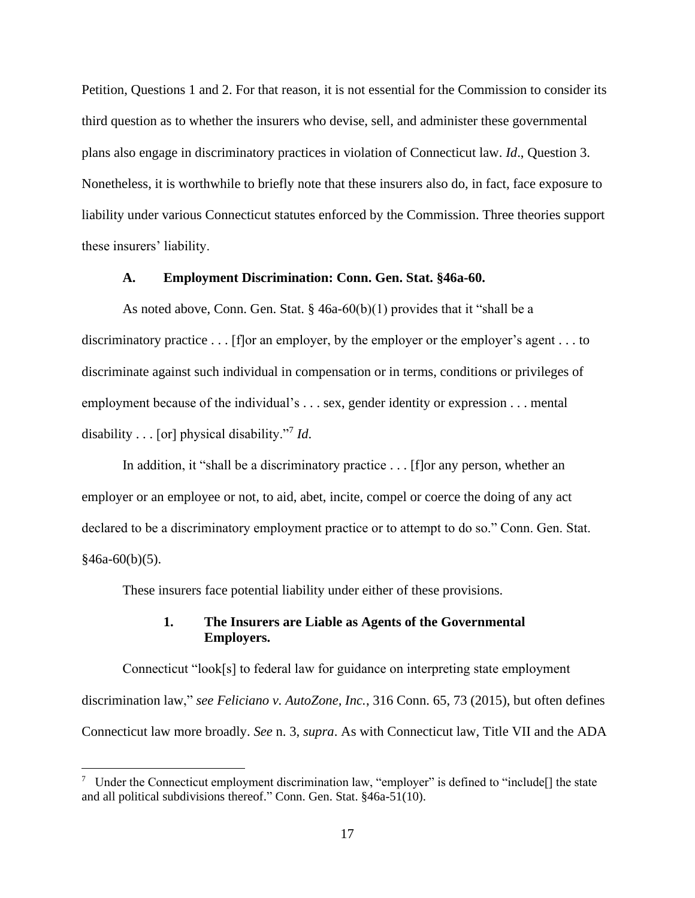Petition, Questions 1 and 2. For that reason, it is not essential for the Commission to consider its third question as to whether the insurers who devise, sell, and administer these governmental plans also engage in discriminatory practices in violation of Connecticut law. *Id*., Question 3. Nonetheless, it is worthwhile to briefly note that these insurers also do, in fact, face exposure to liability under various Connecticut statutes enforced by the Commission. Three theories support these insurers' liability.

### **A. Employment Discrimination: Conn. Gen. Stat. §46a-60.**

As noted above, Conn. Gen. Stat.  $\S$  46a-60(b)(1) provides that it "shall be a discriminatory practice . . . [f]or an employer, by the employer or the employer's agent . . . to discriminate against such individual in compensation or in terms, conditions or privileges of employment because of the individual's . . . sex, gender identity or expression . . . mental disability . . . [or] physical disability."<sup>7</sup> *Id*.

In addition, it "shall be a discriminatory practice . . . [f]or any person, whether an employer or an employee or not, to aid, abet, incite, compel or coerce the doing of any act declared to be a discriminatory employment practice or to attempt to do so." Conn. Gen. Stat.  $§46a-60(b)(5).$ 

These insurers face potential liability under either of these provisions.

# **1. The Insurers are Liable as Agents of the Governmental Employers.**

Connecticut "look[s] to federal law for guidance on interpreting state employment discrimination law," *see Feliciano v. AutoZone, Inc.*, 316 Conn. 65, 73 (2015), but often defines Connecticut law more broadly. *See* n. 3, *supra*. As with Connecticut law, Title VII and the ADA

<sup>&</sup>lt;sup>7</sup> Under the Connecticut employment discrimination law, "employer" is defined to "include<sup>[]</sup> the state and all political subdivisions thereof." Conn. Gen. Stat. §46a-51(10).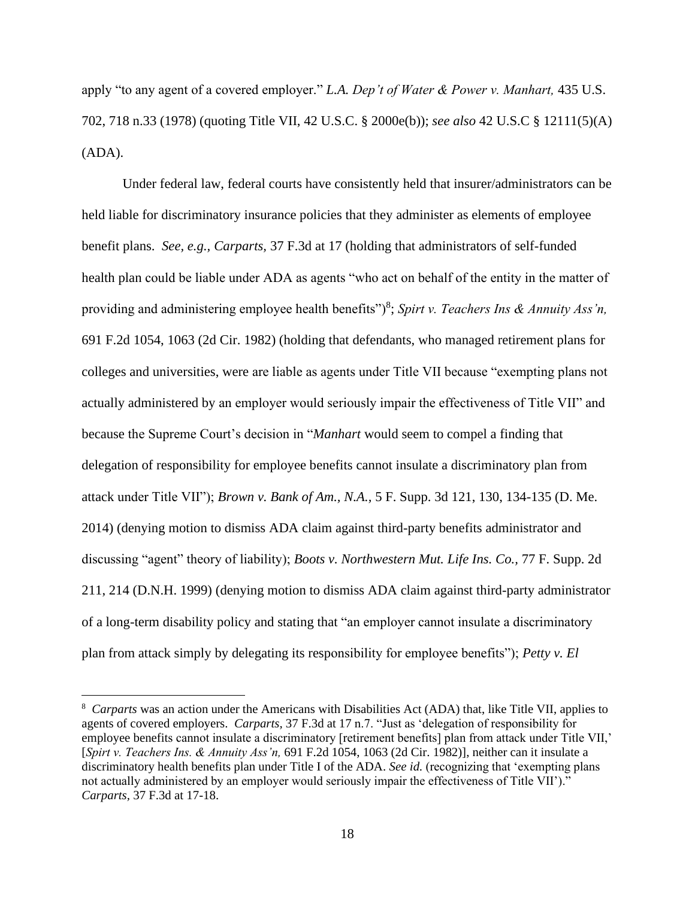apply "to any agent of a covered employer." *L.A. Dep't of Water & Power v. Manhart,* 435 U.S. 702, 718 n.33 (1978) (quoting Title VII, 42 U.S.C. § 2000e(b)); *see also* 42 U.S.C § 12111(5)(A) (ADA).

Under federal law, federal courts have consistently held that insurer/administrators can be held liable for discriminatory insurance policies that they administer as elements of employee benefit plans. *See, e.g., Carparts,* 37 F.3d at 17 (holding that administrators of self-funded health plan could be liable under ADA as agents "who act on behalf of the entity in the matter of providing and administering employee health benefits")<sup>8</sup>; Spirt v. Teachers Ins & Annuity Ass'n, 691 F.2d 1054, 1063 (2d Cir. 1982) (holding that defendants, who managed retirement plans for colleges and universities, were are liable as agents under Title VII because "exempting plans not actually administered by an employer would seriously impair the effectiveness of Title VII" and because the Supreme Court's decision in "*Manhart* would seem to compel a finding that delegation of responsibility for employee benefits cannot insulate a discriminatory plan from attack under Title VII"); *Brown v. Bank of Am., N.A.,* 5 F. Supp. 3d 121, 130, 134-135 (D. Me. 2014) (denying motion to dismiss ADA claim against third-party benefits administrator and discussing "agent" theory of liability); *Boots v. Northwestern Mut. Life Ins. Co.,* 77 F. Supp. 2d 211, 214 (D.N.H. 1999) (denying motion to dismiss ADA claim against third-party administrator of a long-term disability policy and stating that "an employer cannot insulate a discriminatory plan from attack simply by delegating its responsibility for employee benefits"); *Petty v. El* 

<sup>8</sup> *Carparts* was an action under the Americans with Disabilities Act (ADA) that, like Title VII, applies to agents of covered employers. *Carparts,* 37 F.3d at 17 n.7. "Just as 'delegation of responsibility for employee benefits cannot insulate a discriminatory [retirement benefits] plan from attack under Title VII,' [*Spirt v. Teachers Ins. & Annuity Ass'n,* 691 F.2d 1054, 1063 (2d Cir. 1982)], neither can it insulate a discriminatory health benefits plan under Title I of the ADA. *See id.* (recognizing that 'exempting plans not actually administered by an employer would seriously impair the effectiveness of Title VII')." *Carparts,* 37 F.3d at 17-18.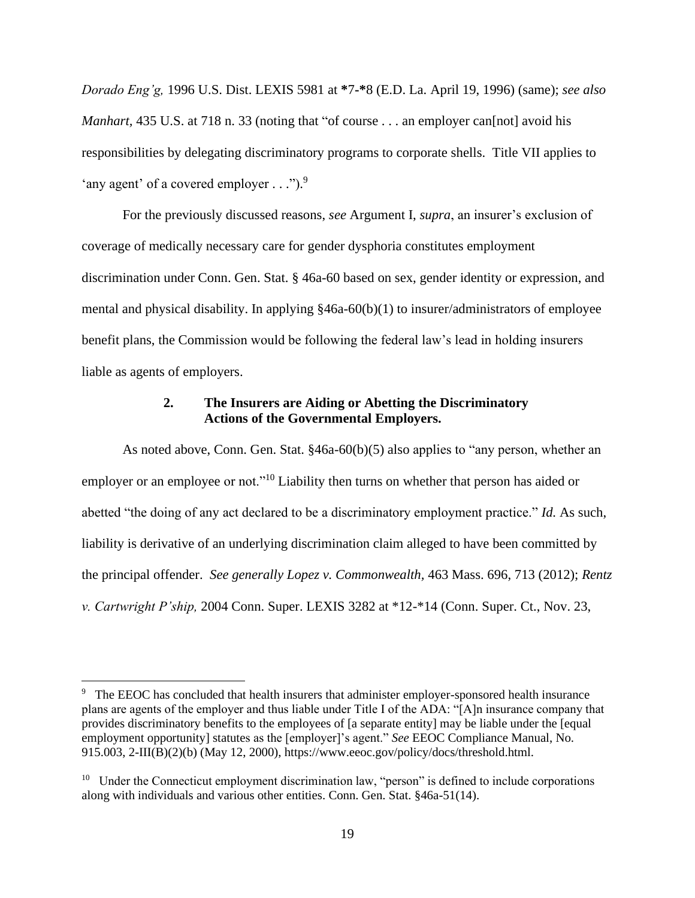*Dorado Eng'g,* 1996 U.S. Dist. LEXIS 5981 at **\***7**-\***8 (E.D. La. April 19, 1996) (same); *see also Manhart*, 435 U.S. at 718 n. 33 (noting that "of course . . . an employer can [not] avoid his responsibilities by delegating discriminatory programs to corporate shells. Title VII applies to 'any agent' of a covered employer . . .").<sup>9</sup>

For the previously discussed reasons, *see* Argument I, *supra*, an insurer's exclusion of coverage of medically necessary care for gender dysphoria constitutes employment discrimination under Conn. Gen. Stat. § 46a-60 based on sex, gender identity or expression, and mental and physical disability. In applying §46a-60(b)(1) to insurer/administrators of employee benefit plans, the Commission would be following the federal law's lead in holding insurers liable as agents of employers.

# **2. The Insurers are Aiding or Abetting the Discriminatory Actions of the Governmental Employers.**

As noted above, Conn. Gen. Stat.  $§46a-60(b)(5)$  also applies to "any person, whether an employer or an employee or not."<sup>10</sup> Liability then turns on whether that person has aided or abetted "the doing of any act declared to be a discriminatory employment practice." *Id.* As such, liability is derivative of an underlying discrimination claim alleged to have been committed by the principal offender. *See generally Lopez v. Commonwealth,* 463 Mass. 696, 713 (2012); *Rentz v. Cartwright P'ship,* 2004 Conn. Super. LEXIS 3282 at \*12-\*14 (Conn. Super. Ct., Nov. 23,

<sup>&</sup>lt;sup>9</sup> The EEOC has concluded that health insurers that administer employer-sponsored health insurance plans are agents of the employer and thus liable under Title I of the ADA: "[A]n insurance company that provides discriminatory benefits to the employees of [a separate entity] may be liable under the [equal employment opportunity] statutes as the [employer]'s agent." *See* EEOC Compliance Manual, No. 915.003, 2-III(B)(2)(b) (May 12, 2000), https://www.eeoc.gov/policy/docs/threshold.html.

<sup>&</sup>lt;sup>10</sup> Under the Connecticut employment discrimination law, "person" is defined to include corporations along with individuals and various other entities. Conn. Gen. Stat. §46a-51(14).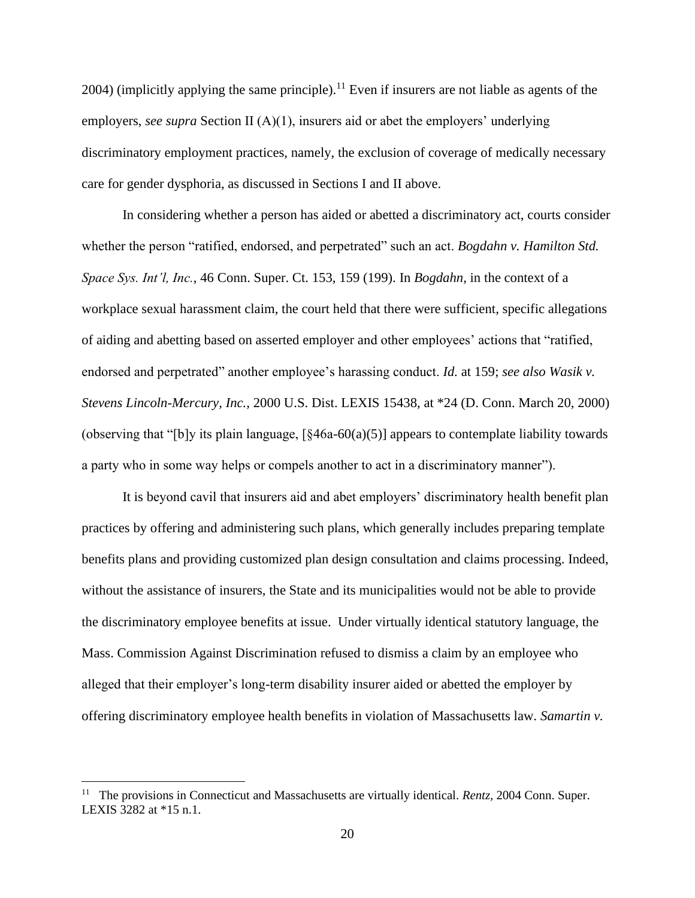$2004$ ) (implicitly applying the same principle).<sup>11</sup> Even if insurers are not liable as agents of the employers, *see supra* Section II (A)(1), insurers aid or abet the employers' underlying discriminatory employment practices, namely, the exclusion of coverage of medically necessary care for gender dysphoria, as discussed in Sections I and II above.

In considering whether a person has aided or abetted a discriminatory act, courts consider whether the person "ratified, endorsed, and perpetrated" such an act. *Bogdahn v. Hamilton Std. Space Sys. Int'l, Inc.*, 46 Conn. Super. Ct. 153, 159 (199). In *Bogdahn*, in the context of a workplace sexual harassment claim, the court held that there were sufficient, specific allegations of aiding and abetting based on asserted employer and other employees' actions that "ratified, endorsed and perpetrated" another employee's harassing conduct. *Id.* at 159; *see also Wasik v. Stevens Lincoln-Mercury, Inc.,* 2000 U.S. Dist. LEXIS 15438, at \*24 (D. Conn. March 20, 2000) (observing that "[b]y its plain language,  $\left[\frac{846a-60(a)(5)}{2}\right]$  appears to contemplate liability towards a party who in some way helps or compels another to act in a discriminatory manner").

It is beyond cavil that insurers aid and abet employers' discriminatory health benefit plan practices by offering and administering such plans, which generally includes preparing template benefits plans and providing customized plan design consultation and claims processing. Indeed, without the assistance of insurers, the State and its municipalities would not be able to provide the discriminatory employee benefits at issue. Under virtually identical statutory language, the Mass. Commission Against Discrimination refused to dismiss a claim by an employee who alleged that their employer's long-term disability insurer aided or abetted the employer by offering discriminatory employee health benefits in violation of Massachusetts law. *Samartin v.* 

<sup>&</sup>lt;sup>11</sup> The provisions in Connecticut and Massachusetts are virtually identical. *Rentz*, 2004 Conn. Super. LEXIS 3282 at \*15 n.1.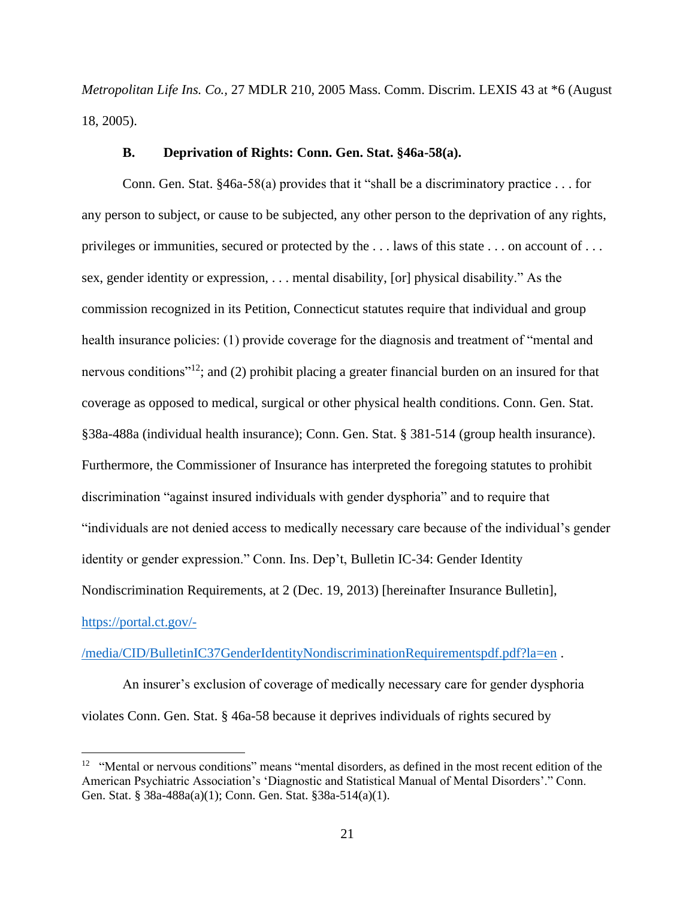*Metropolitan Life Ins. Co.,* 27 MDLR 210, 2005 Mass. Comm. Discrim. LEXIS 43 at \*6 (August 18, 2005).

### **B. Deprivation of Rights: Conn. Gen. Stat. §46a-58(a).**

Conn. Gen. Stat. §46a-58(a) provides that it "shall be a discriminatory practice . . . for any person to subject, or cause to be subjected, any other person to the deprivation of any rights, privileges or immunities, secured or protected by the . . . laws of this state . . . on account of . . . sex, gender identity or expression, . . . mental disability, [or] physical disability." As the commission recognized in its Petition, Connecticut statutes require that individual and group health insurance policies: (1) provide coverage for the diagnosis and treatment of "mental and nervous conditions"<sup>12</sup>; and (2) prohibit placing a greater financial burden on an insured for that coverage as opposed to medical, surgical or other physical health conditions. Conn. Gen. Stat. §38a-488a (individual health insurance); Conn. Gen. Stat. § 381-514 (group health insurance). Furthermore, the Commissioner of Insurance has interpreted the foregoing statutes to prohibit discrimination "against insured individuals with gender dysphoria" and to require that "individuals are not denied access to medically necessary care because of the individual's gender identity or gender expression." Conn. Ins. Dep't, Bulletin IC-34: Gender Identity Nondiscrimination Requirements, at 2 (Dec. 19, 2013) [hereinafter Insurance Bulletin], [https://portal.ct.gov/-](https://portal.ct.gov/-/media/CID/BulletinIC37GenderIdentityNondiscriminationRequirementspdf.pdf?la=en)

## [/media/CID/BulletinIC37GenderIdentityNondiscriminationRequirementspdf.pdf?la=en](https://portal.ct.gov/-/media/CID/BulletinIC37GenderIdentityNondiscriminationRequirementspdf.pdf?la=en) .

An insurer's exclusion of coverage of medically necessary care for gender dysphoria violates Conn. Gen. Stat. § 46a-58 because it deprives individuals of rights secured by

<sup>&</sup>lt;sup>12</sup> "Mental or nervous conditions" means "mental disorders, as defined in the most recent edition of the American Psychiatric Association's 'Diagnostic and Statistical Manual of Mental Disorders'." Conn. Gen. Stat. § 38a-488a(a)(1); Conn. Gen. Stat. §38a-514(a)(1).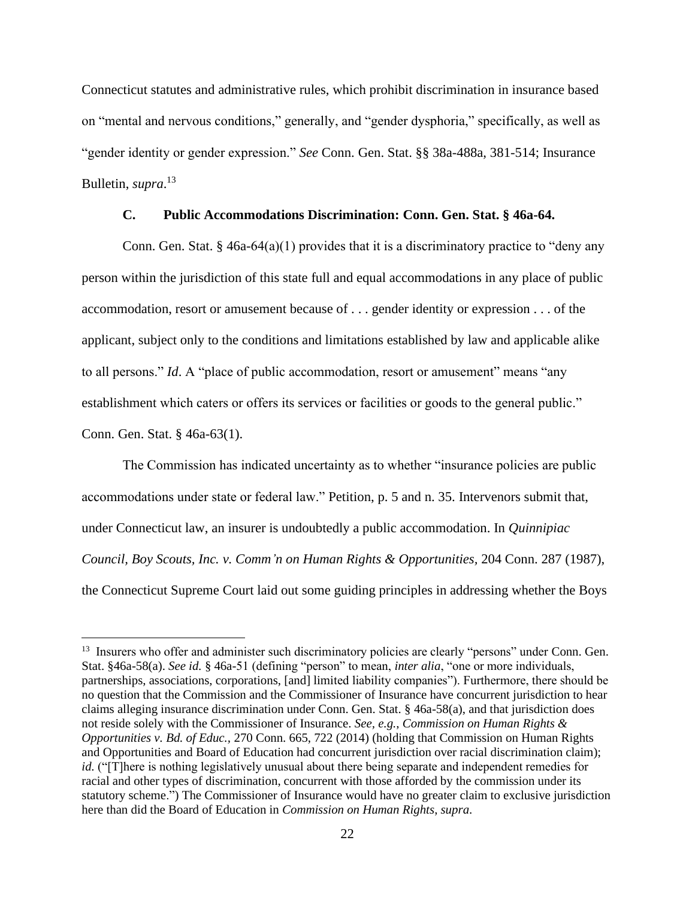Connecticut statutes and administrative rules, which prohibit discrimination in insurance based on "mental and nervous conditions," generally, and "gender dysphoria," specifically, as well as "gender identity or gender expression." *See* Conn. Gen. Stat. §§ 38a-488a, 381-514; Insurance Bulletin, *supra*. 13

# **C. Public Accommodations Discrimination: Conn. Gen. Stat. § 46a-64.**

Conn. Gen. Stat. § 46a-64(a)(1) provides that it is a discriminatory practice to "deny any person within the jurisdiction of this state full and equal accommodations in any place of public accommodation, resort or amusement because of . . . gender identity or expression . . . of the applicant, subject only to the conditions and limitations established by law and applicable alike to all persons." *Id*. A "place of public accommodation, resort or amusement" means "any establishment which caters or offers its services or facilities or goods to the general public." Conn. Gen. Stat. § 46a-63(1).

The Commission has indicated uncertainty as to whether "insurance policies are public accommodations under state or federal law." Petition, p. 5 and n. 35. Intervenors submit that, under Connecticut law, an insurer is undoubtedly a public accommodation. In *Quinnipiac Council, Boy Scouts, Inc. v. Comm'n on Human Rights & Opportunities,* 204 Conn. 287 (1987), the Connecticut Supreme Court laid out some guiding principles in addressing whether the Boys

<sup>&</sup>lt;sup>13</sup> Insurers who offer and administer such discriminatory policies are clearly "persons" under Conn. Gen. Stat. §46a-58(a). *See id.* § 46a-51 (defining "person" to mean, *inter alia*, "one or more individuals, partnerships, associations, corporations, [and] limited liability companies"). Furthermore, there should be no question that the Commission and the Commissioner of Insurance have concurrent jurisdiction to hear claims alleging insurance discrimination under Conn. Gen. Stat. § 46a-58(a), and that jurisdiction does not reside solely with the Commissioner of Insurance. *See, e.g.*, *Commission on Human Rights & Opportunities v. Bd. of Educ.,* 270 Conn. 665, 722 (2014) (holding that Commission on Human Rights and Opportunities and Board of Education had concurrent jurisdiction over racial discrimination claim); *id.* ("[T]here is nothing legislatively unusual about there being separate and independent remedies for racial and other types of discrimination, concurrent with those afforded by the commission under its statutory scheme.") The Commissioner of Insurance would have no greater claim to exclusive jurisdiction here than did the Board of Education in *Commission on Human Rights*, *supra*.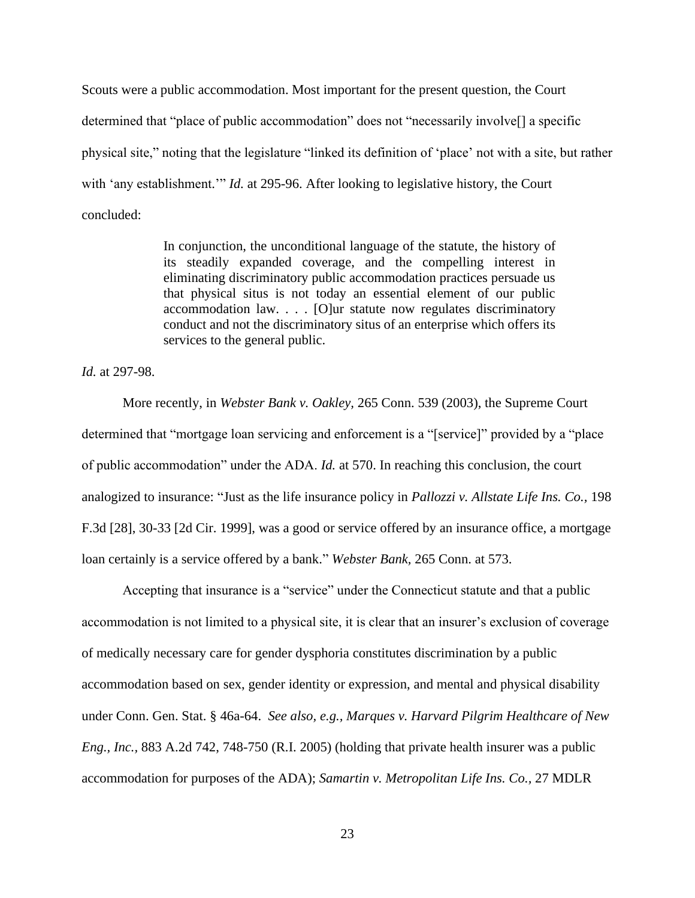Scouts were a public accommodation. Most important for the present question, the Court determined that "place of public accommodation" does not "necessarily involve[] a specific physical site," noting that the legislature "linked its definition of 'place' not with a site, but rather with 'any establishment.'" *Id.* at 295-96. After looking to legislative history, the Court concluded:

> In conjunction, the unconditional language of the statute, the history of its steadily expanded coverage, and the compelling interest in eliminating discriminatory public accommodation practices persuade us that physical situs is not today an essential element of our public accommodation law. . . . [O]ur statute now regulates discriminatory conduct and not the discriminatory situs of an enterprise which offers its services to the general public.

*Id.* at 297-98.

More recently, in *Webster Bank v. Oakley,* 265 Conn. 539 (2003), the Supreme Court determined that "mortgage loan servicing and enforcement is a "[service]" provided by a "place of public accommodation" under the ADA. *Id.* at 570. In reaching this conclusion, the court analogized to insurance: "Just as the life insurance policy in *Pallozzi v. Allstate Life Ins. Co.,* 198 F.3d [28], 30-33 [2d Cir. 1999], was a good or service offered by an insurance office, a mortgage loan certainly is a service offered by a bank." *Webster Bank,* 265 Conn. at 573.

Accepting that insurance is a "service" under the Connecticut statute and that a public accommodation is not limited to a physical site, it is clear that an insurer's exclusion of coverage of medically necessary care for gender dysphoria constitutes discrimination by a public accommodation based on sex, gender identity or expression, and mental and physical disability under Conn. Gen. Stat. § 46a-64. *See also, e.g., Marques v. Harvard Pilgrim Healthcare of New Eng., Inc.,* 883 A.2d 742, 748-750 (R.I. 2005) (holding that private health insurer was a public accommodation for purposes of the ADA); *Samartin v. Metropolitan Life Ins. Co.,* 27 MDLR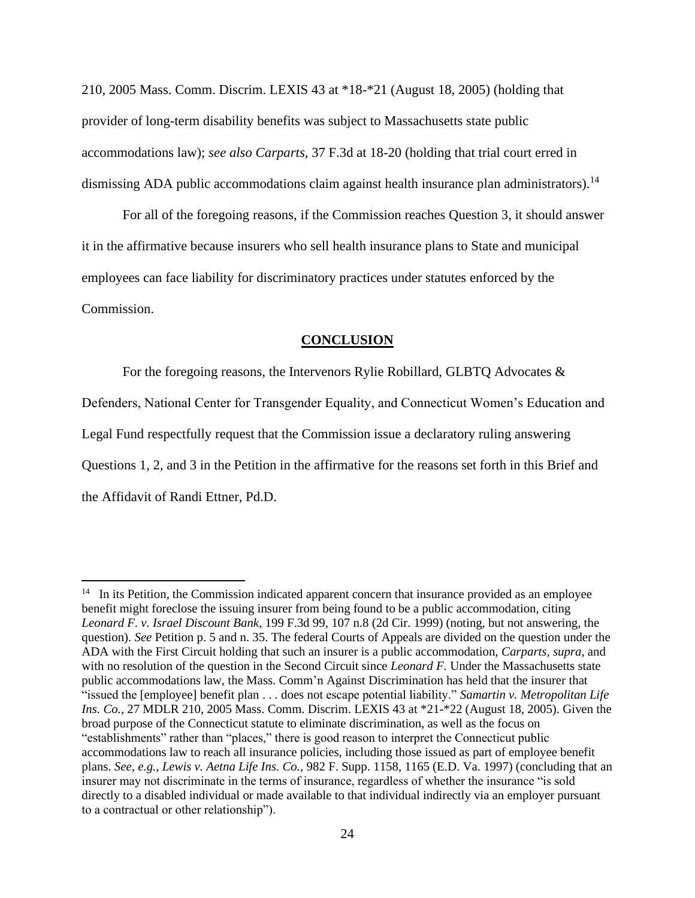210, 2005 Mass. Comm. Discrim. LEXIS 43 at \*18-\*21 (August 18, 2005) (holding that provider of long-term disability benefits was subject to Massachusetts state public accommodations law); *see also Carparts*, 37 F.3d at 18-20 (holding that trial court erred in dismissing ADA public accommodations claim against health insurance plan administrators).<sup>14</sup>

For all of the foregoing reasons, if the Commission reaches Question 3, it should answer it in the affirmative because insurers who sell health insurance plans to State and municipal employees can face liability for discriminatory practices under statutes enforced by the Commission.

#### **CONCLUSION**

For the foregoing reasons, the Intervenors Rylie Robillard, GLBTQ Advocates & Defenders, National Center for Transgender Equality, and Connecticut Women's Education and Legal Fund respectfully request that the Commission issue a declaratory ruling answering Questions 1, 2, and 3 in the Petition in the affirmative for the reasons set forth in this Brief and the Affidavit of Randi Ettner, Pd.D.

<sup>&</sup>lt;sup>14</sup> In its Petition, the Commission indicated apparent concern that insurance provided as an employee benefit might foreclose the issuing insurer from being found to be a public accommodation, citing *Leonard F. v. Israel Discount Bank*, 199 F.3d 99, 107 n.8 (2d Cir. 1999) (noting, but not answering, the question). *See* Petition p. 5 and n. 35. The federal Courts of Appeals are divided on the question under the ADA with the First Circuit holding that such an insurer is a public accommodation, *Carparts, supra,* and with no resolution of the question in the Second Circuit since *Leonard F*. Under the Massachusetts state public accommodations law, the Mass. Comm'n Against Discrimination has held that the insurer that "issued the [employee] benefit plan . . . does not escape potential liability." *Samartin v. Metropolitan Life Ins. Co.,* 27 MDLR 210, 2005 Mass. Comm. Discrim. LEXIS 43 at \*21-\*22 (August 18, 2005). Given the broad purpose of the Connecticut statute to eliminate discrimination, as well as the focus on "establishments" rather than "places," there is good reason to interpret the Connecticut public accommodations law to reach all insurance policies, including those issued as part of employee benefit plans. *See, e.g.*, *Lewis v. Aetna Life Ins. Co.*, 982 F. Supp. 1158, 1165 (E.D. Va. 1997) (concluding that an insurer may not discriminate in the terms of insurance, regardless of whether the insurance "is sold directly to a disabled individual or made available to that individual indirectly via an employer pursuant to a contractual or other relationship").